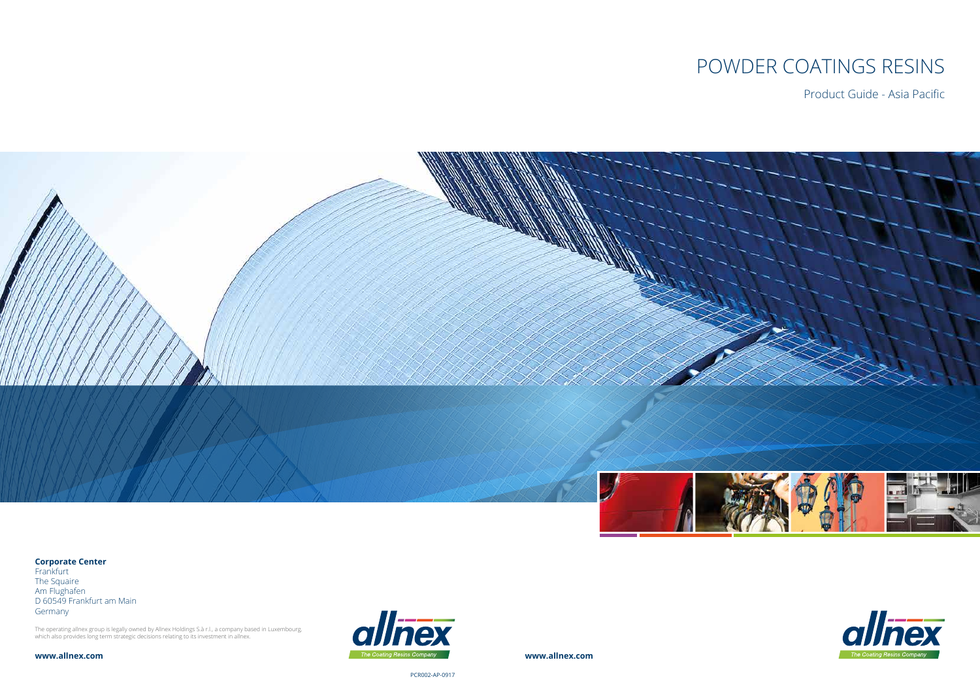# POWDER COATINGS RESINS

Product Guide - Asia Pacific



**www.allnex.com**

PCR002-AP-0917







#### **Corporate Center**

Frankfurt The Squaire Am Flughafen D 60549 Frankfurt am Main Germany

The operating allnex group is legally owned by Allnex Holdings S.à r.l., a company based in Luxembourg, which also provides long term strategic decisions relating to its investment in allnex.

**www.allnex.com**

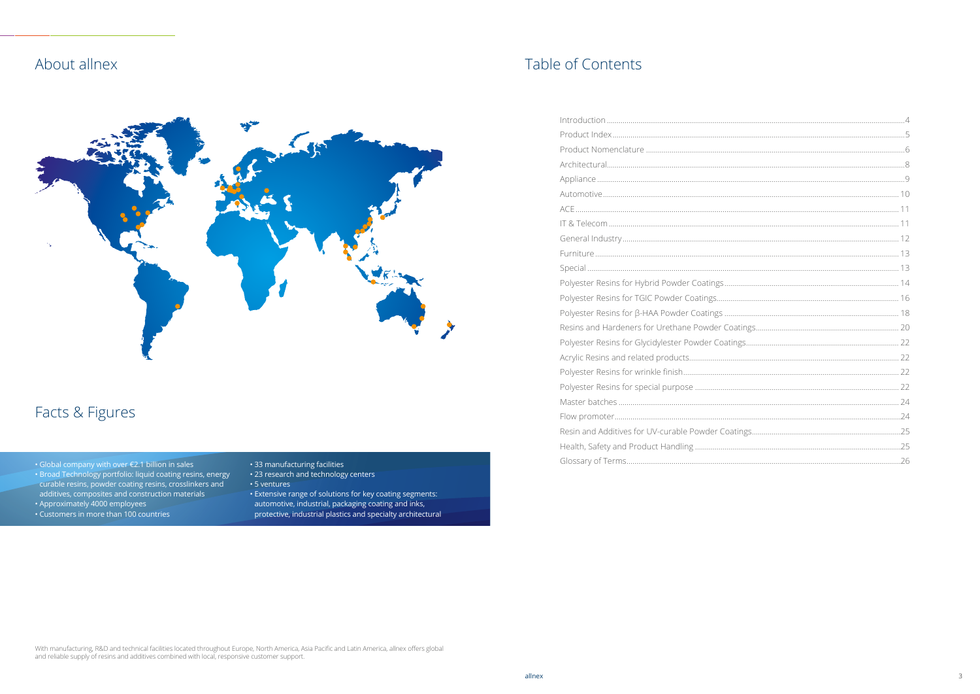## About allnex



## Facts & Figures

- . Global company with over €2.1 billion in sales
- · Broad Technology portfolio: liquid coating resins, energy - Broad Technology portionol. Input Coating Feshis, eriergy<br>curable resins, powder coating resins, crosslinkers and<br>additives, composites and construction materials<br>• Approximately 4000 employees<br>• Customers in more than 1
- 
- 
- 
- 33 manufacturing facilities
- 23 research and technology centers
- 5 ventures
- Sitemales<br>- Extensive range of solutions for key coating segments:<br>automotive, industrial, packaging coating and inks,<br>protective, industrial plastics and specialty architectural

## Table of Contents

With manufacturing, R&D and technical facilities located throughout Europe, North America, Asia Pacific and Latin America, allnex offers global<br>and reliable supply of resins and additives combined with local, responsive cu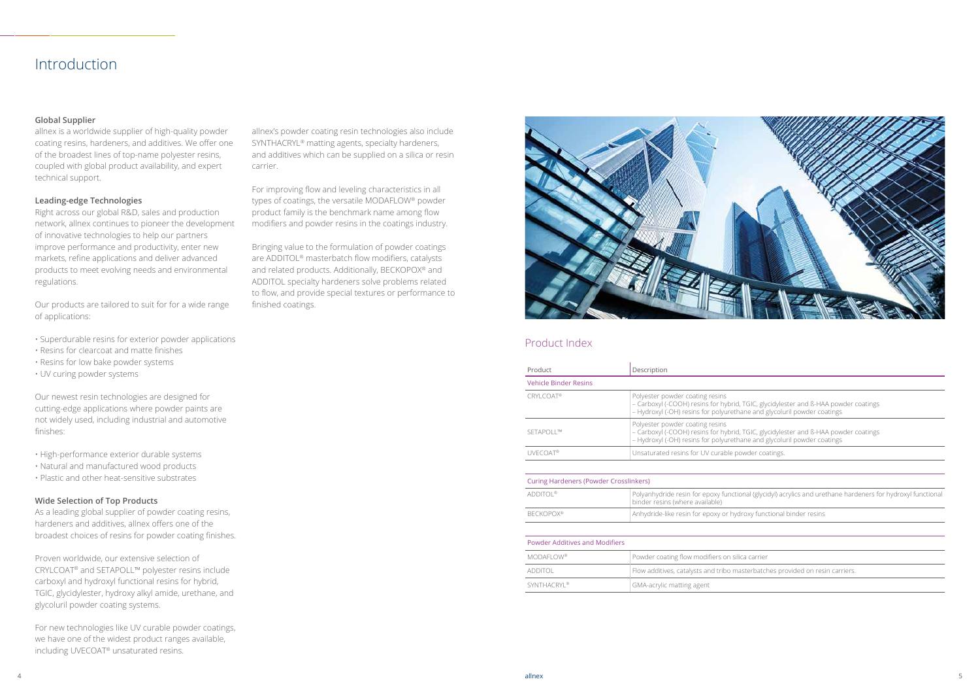## Introduction

#### **Global Supplier**

allnex is a worldwide supplier of high-quality powder coating resins, hardeners, and additives. We offer one of the broadest lines of top-name polyester resins, coupled with global product availability, and expert technical support.

#### **Leading-edge Technologies**

Right across our global R&D, sales and production network, allnex continues to pioneer the development of innovative technologies to help our partners improve performance and productivity, enter new markets, refine applications and deliver advanced products to meet evolving needs and environmental regulations.

Our products are tailored to suit for for a wide range of applications:

- Superdurable resins for exterior powder applications
- Resins for clearcoat and matte finishes
- Resins for low bake powder systems
- UV curing powder systems

Our newest resin technologies are designed for cutting-edge applications where powder paints are not widely used, including industrial and automotive finishes:

• High-performance exterior durable systems

- Natural and manufactured wood products
- Plastic and other heat-sensitive substrates

#### **Wide Selection of Top Products**

As a leading global supplier of powder coating resins, hardeners and additives, allnex offers one of the broadest choices of resins for powder coating finishes.

Proven worldwide, our extensive selection of CRYLCOAT® and SETAPOLL™ polyester resins include carboxyl and hydroxyl functional resins for hybrid, TGIC, glycidylester, hydroxy alkyl amide, urethane, and glycoluril powder coating systems.

For new technologies like UV curable powder coatings, we have one of the widest product ranges available, including UVECOAT® unsaturated resins.

allnex's powder coating resin technologies also include SYNTHACRYL® matting agents, specialty hardeners, and additives which can be supplied on a silica or resin carrier.

For improving flow and leveling characteristics in all types of coatings, the versatile MODAFLOW® powder product family is the benchmark name among flow modifiers and powder resins in the coatings industry.

Bringing value to the formulation of powder coatings are ADDITOL® masterbatch flow modifiers, catalysts and related products. Additionally, BECKOPOX® and ADDITOL specialty hardeners solve problems related to flow, and provide special textures or performance to finished coatings.



| Product                      | Description                                                                                                      |
|------------------------------|------------------------------------------------------------------------------------------------------------------|
| <b>Vehicle Binder Resins</b> |                                                                                                                  |
| <b>CRYLCOAT®</b>             | Polyester powder coating resins<br>- Carboxyl (-COOH) resins for hybrid<br>- Hydroxyl (-OH) resins for polyureth |
| SETAPOLL™                    | Polyester powder coating resins<br>- Carboxyl (-COOH) resins for hybrid<br>- Hydroxyl (-OH) resins for polyureth |
| <b>UVECOAT®</b>              | Unsaturated resins for UV curable po                                                                             |
|                              |                                                                                                                  |

| <b>ADDITOI®</b><br>Polyanhydride resin for epoxy function  |  |
|------------------------------------------------------------|--|
| binder resins (where available)                            |  |
| <b>BECKOPOX®</b><br>Anhydride-like resin for epoxy or hydr |  |

| <b>Powder Additives and Modifiers</b> |                                  |
|---------------------------------------|----------------------------------|
| <b>MODAFLOW®</b>                      | Powder coating flow modifiers on |

| additol                 | Flow additives, catalysts and tribo m |
|-------------------------|---------------------------------------|
| SYNTHACRYI <sup>®</sup> | <b>GMA-acrylic matting agent</b>      |

TGIC, glycidylester and ß-HAA powder coatings ane and glycoluril powder coatings

TGIC, glycidylester and ß-HAA powder coatings ane and glycoluril powder coatings

owder coatings.

nal (glycidyl) acrylics and urethane hardeners for hydroxyl functional

roxy functional binder resins

silica carrier

hasterbatches provided on resin carriers.

#### Product Index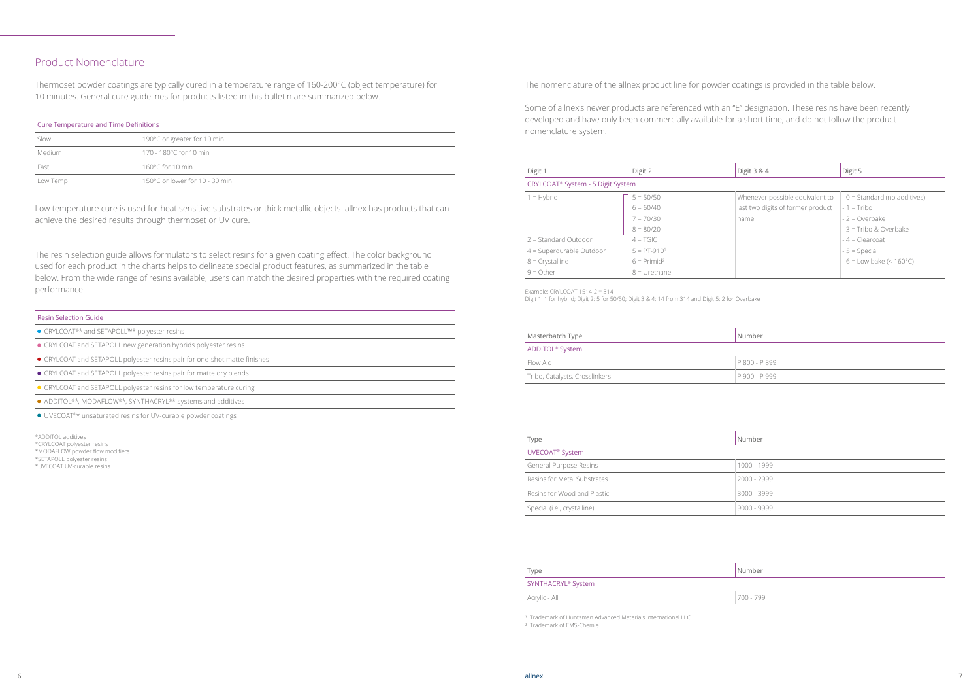| <b>Cure Temperature and Time Definitions</b> |                                |  |  |
|----------------------------------------------|--------------------------------|--|--|
| Slow                                         | 190°C or greater for 10 min    |  |  |
| Medium                                       | 170 - 180°C for 10 min         |  |  |
| Fast                                         | 160 $^{\circ}$ C for 10 min    |  |  |
| Low Temp                                     | 150°C or lower for 10 - 30 min |  |  |

#### Resin Selection Guide

- CRYLCOAT<sup>®\*</sup> and SETAPOLL™\* polyester resins
- CRYLCOAT and SETAPOLL new generation hybrids polyester resins
- CRYLCOAT and SETAPOLL polyester resins pair for one-shot matte finishes
- CRYLCOAT and SETAPOLL polyester resins pair for matte dry blends
- CRYLCOAT and SETAPOLL polyester resins for low temperature curing
- ADDITOL®\*, MODAFLOW®\*, SYNTHACRYL®\* systems and additives

● UVECOAT<sup>®\*</sup> unsaturated resins for UV-curable powder coatings

#### Product Nomenclature

Thermoset powder coatings are typically cured in a temperature range of 160-200°C (object temperature) for 10 minutes. General cure guidelines for products listed in this bulletin are summarized below.

| Digit 1                    | Digit 2                                       | Digit 3 & 4                       | Digit 5                              |  |  |  |
|----------------------------|-----------------------------------------------|-----------------------------------|--------------------------------------|--|--|--|
|                            | CRYLCOAT <sup>®</sup> System - 5 Digit System |                                   |                                      |  |  |  |
| $1 = Hybrid$               | $5 = 50/50$                                   | Whenever possible equivalent to   | $-0$ = Standard (no additives)       |  |  |  |
|                            | $6 = 60/40$                                   | last two digits of former product | $-1$ = Tribo                         |  |  |  |
|                            | $7 = 70/30$                                   | name                              | $-2 = Overbake$                      |  |  |  |
|                            | $8 = 80/20$                                   |                                   | $-3$ = Tribo & Overbake              |  |  |  |
| $2 =$ Standard Outdoor     | $4 = TGIC$                                    |                                   | $-4$ = Clearcoat                     |  |  |  |
| $4 =$ Superdurable Outdoor | $5 = PT-9101$                                 |                                   | $-5$ = Special                       |  |  |  |
| $8 =$ Crystalline          | $6 = Primid^2$                                |                                   | $-6$ = Low bake (< 160 $^{\circ}$ C) |  |  |  |
| $9 = 0$ ther               | $8 = U$ rethane                               |                                   |                                      |  |  |  |

| Masterbatch Type               | Number        |
|--------------------------------|---------------|
| ADDITOL <sup>®</sup> System    |               |
| Flow Aid                       | P 800 - P 899 |
| Tribo, Catalysts, Crosslinkers | P 900 - P 999 |

| Type                        | Number        |
|-----------------------------|---------------|
| UVECOAT <sup>®</sup> System |               |
| General Purpose Resins      | 1000 - 1999   |
| Resins for Metal Substrates | $2000 - 2999$ |
| Resins for Wood and Plastic | 3000 - 3999   |
| Special (i.e., crystalline) | $9000 - 9999$ |

| Type                           | Number    |
|--------------------------------|-----------|
| SYNTHACRYL <sup>®</sup> System |           |
| Acrylic - All                  | 700 - 799 |

<sup>1</sup> Trademark of Huntsman Advanced Materials international LLC

#### The nomenclature of the allnex product line for powder coatings is provided in the table below.

Some of allnex's newer products are referenced with an "E" designation. These resins have been recently developed and have only been commercially available for a short time, and do not follow the product nomenclature system.

Low temperature cure is used for heat sensitive substrates or thick metallic objects. allnex has products that can achieve the desired results through thermoset or UV cure.

The resin selection guide allows formulators to select resins for a given coating effect. The color background used for each product in the charts helps to delineate special product features, as summarized in the table below. From the wide range of resins available, users can match the desired properties with the required coating performance.

² Trademark of EMS-Chemie

- \*ADDITOL additives
- \*CRYLCOAT polyester resins
- \*MODAFLOW powder flow modifiers \*SETAPOLL polyester resins
- \*UVECOAT UV-curable resins
- 

Example: CRYLCOAT 1514-2 = 314

Digit 1: 1 for hybrid; Digit 2: 5 for 50/50; Digit 3 & 4: 14 from 314 and Digit 5: 2 for Overbake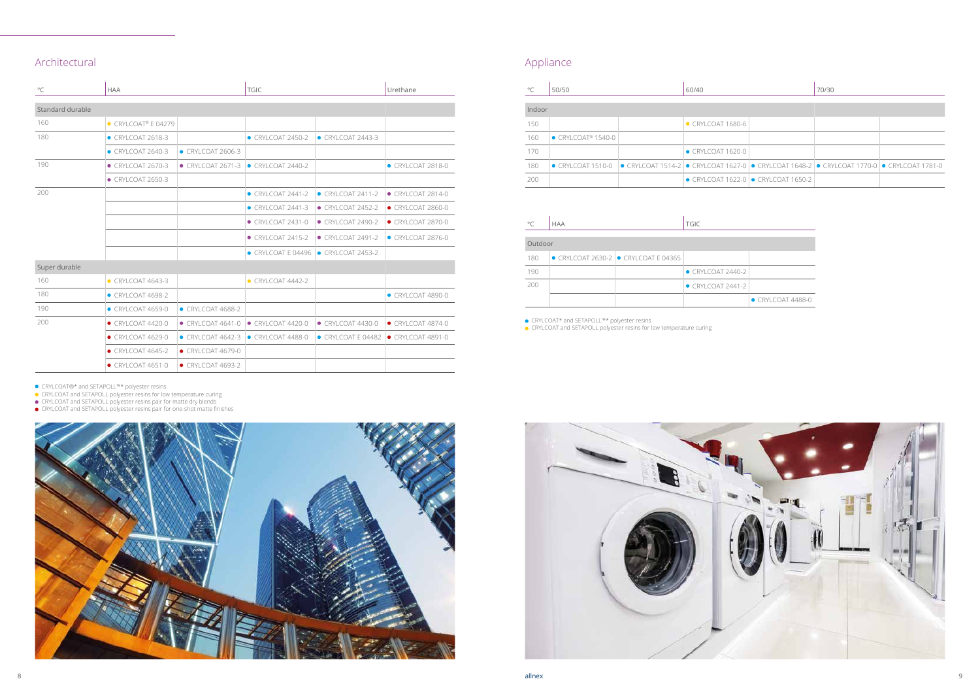| $^{\circ}$ C     | <b>HAA</b>                  |                           | <b>TGIC</b>                |                           | Urethane                  |  |  |
|------------------|-----------------------------|---------------------------|----------------------------|---------------------------|---------------------------|--|--|
| Standard durable |                             |                           |                            |                           |                           |  |  |
| 160              | $\bullet$ CRYLCOAT® E 04279 |                           |                            |                           |                           |  |  |
| 180              | $\bullet$ CRYLCOAT 2618-3   |                           | CRYLCOAT 2450-2            | $\bullet$ CRYLCOAT 2443-3 |                           |  |  |
|                  | $\bullet$ CRYLCOAT 2640-3   | • CRYLCOAT 2606-3         |                            |                           |                           |  |  |
| 190              | $\bullet$ CRYLCOAT 2670-3   | $\bullet$ CRYLCOAT 2671-3 | $\bullet$ CRYI COAT 2440-2 |                           | CRYLCOAT 2818-0           |  |  |
|                  | • CRYLCOAT 2650-3           |                           |                            |                           |                           |  |  |
| 200              |                             |                           | $\bullet$ CRYLCOAT 2441-2  | $\bullet$ CRYLCOAT 2411-2 | $\bullet$ CRYLCOAT 2814-0 |  |  |
|                  |                             |                           | $\bullet$ CRYLCOAT 2441-3  | $\bullet$ CRYLCOAT 2452-2 | $\bullet$ CRYLCOAT 2860-0 |  |  |
|                  |                             |                           | $\bullet$ CRYLCOAT 2431-0  | $\bullet$ CRYLCOAT 2490-2 | $\bullet$ CRYLCOAT 2870-0 |  |  |
|                  |                             |                           | $\bullet$ CRYLCOAT 2415-2  | ● CRYLCOAT 2491-2         | $\bullet$ CRYLCOAT 2876-0 |  |  |
|                  |                             |                           | CRYLCOAT E 04496           | CRYLCOAT 2453-2           |                           |  |  |
| Super durable    |                             |                           |                            |                           |                           |  |  |
| 160              | $\bullet$ CRYLCOAT 4643-3   |                           | $\bullet$ CRYLCOAT 4442-2  |                           |                           |  |  |
| 180              | $\bullet$ CRYLCOAT 4698-2   |                           |                            |                           | CRYLCOAT 4890-0           |  |  |
| 190              | $\bullet$ CRYLCOAT 4659-0   | $\bullet$ CRYLCOAT 4688-2 |                            |                           |                           |  |  |
| 200              | $\bullet$ CRYLCOAT 4420-0   | $\bullet$ CRYLCOAT 4641-0 | $\bullet$ CRYI COAT 4420-0 | $\bullet$ CRYLCOAT 4430-0 | $\bullet$ CRYLCOAT 4874-0 |  |  |
|                  | $\bullet$ CRYLCOAT 4629-0   | $\bullet$ CRYLCOAT 4642-3 | CRYLCOAT 4488-0            | CRYLCOATE 04482           | $\bullet$ CRYLCOAT 4891-0 |  |  |
|                  | $\bullet$ CRYLCOAT 4645-2   | $\bullet$ CRYLCOAT 4679-0 |                            |                           |                           |  |  |
|                  | $\bullet$ CRYLCOAT 4651-0   | $\bullet$ CRYLCOAT 4693-2 |                            |                           |                           |  |  |

## Appliance

CRYLCOAT®\* and SETAPOLL™\* polyester resins

CRYLCOAT and SETAPOLL polyester resins for low temperature curing

CRYLCOAT and SETAPOLL polyester resins pair for matte dry blends

CRYLCOAT and SETAPOLL polyester resins pair for one-shot matte finishes





| $^{\circ}C$ | 50/50                                                                                                            | 60/40                     |                                                     | 70/30 |  |
|-------------|------------------------------------------------------------------------------------------------------------------|---------------------------|-----------------------------------------------------|-------|--|
| Indoor      |                                                                                                                  |                           |                                                     |       |  |
| 150         |                                                                                                                  | $\bullet$ CRYLCOAT 1680-6 |                                                     |       |  |
| 160         | $\bullet$ CRYLCOAT® 1540-0                                                                                       |                           |                                                     |       |  |
| 170         |                                                                                                                  | $\bullet$ CRYLCOAT 1620-0 |                                                     |       |  |
| 180         | ● CRYLCOAT 1510-0  ● CRYLCOAT 1514-2  ● CRYLCOAT 1627-0  ● CRYLCOAT 1648-2  ● CRYLCOAT 1770-0  ● CRYLCOAT 1781-0 |                           |                                                     |       |  |
| 200         |                                                                                                                  |                           | $\bullet$ CRYLCOAT 1622-0 $\bullet$ CRYLCOAT 1650-2 |       |  |

| $^{\circ}$ C | <b>HAA</b> |                                                      | <b>TGIC</b>               |                           |  |
|--------------|------------|------------------------------------------------------|---------------------------|---------------------------|--|
| Outdoor      |            |                                                      |                           |                           |  |
| 180          |            | $\bullet$ CRYLCOAT 2630-2 $\bullet$ CRYLCOAT E 04365 |                           |                           |  |
| 190          |            |                                                      | $\bullet$ CRYLCOAT 2440-2 |                           |  |
| 200          |            |                                                      | $\bullet$ CRYLCOAT 2441-2 |                           |  |
|              |            |                                                      |                           | $\bullet$ CRYLCOAT 4488-0 |  |

CRYLCOAT\* and SETAPOLL™\* polyester resins

CRYLCOAT and SETAPOLL polyester resins for low temperature curing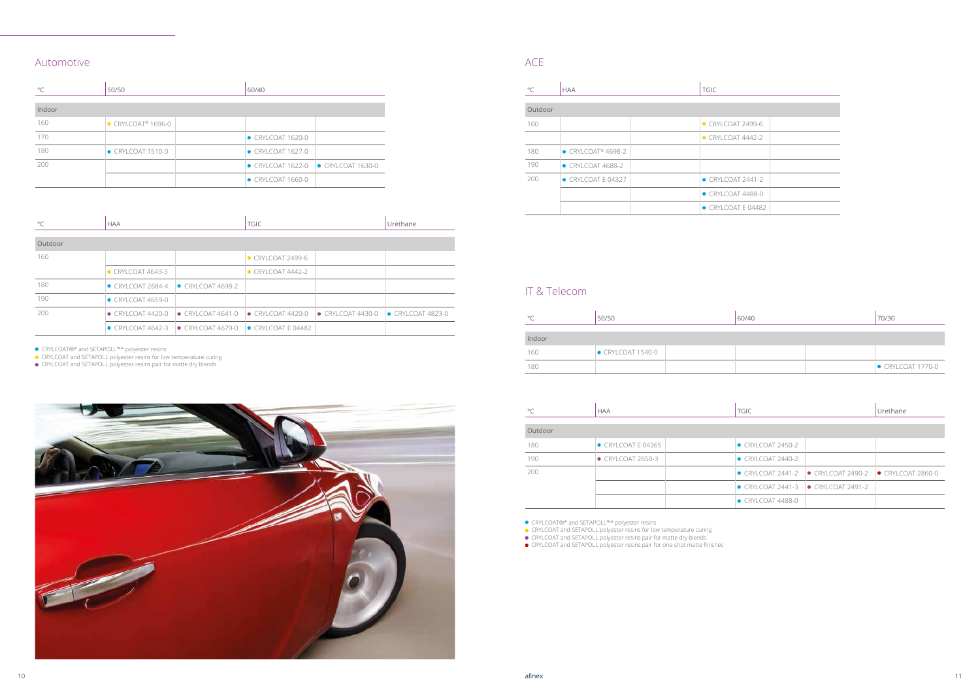### Automotive ACE

| $^{\circ}$ C | 50/50                          | 60/40                                               |  |  |
|--------------|--------------------------------|-----------------------------------------------------|--|--|
| Indoor       |                                |                                                     |  |  |
| 160          | • CRYLCOAT <sup>®</sup> 1696-0 |                                                     |  |  |
| 170          |                                | $\bullet$ CRYLCOAT 1620-0                           |  |  |
| 180          | $\bullet$ CRYLCOAT 1510-0      | $\bullet$ CRYLCOAT 1627-0                           |  |  |
| 200          |                                | $\bullet$ CRYLCOAT 1622-0 $\bullet$ CRYLCOAT 1630-0 |  |  |
|              |                                | $\bullet$ CRYLCOAT 1660-0                           |  |  |

| $^{\circ}$ C | <b>HAA</b>                                          |                                                                                | <b>TGIC</b>               |                           | Urethane                  |  |  |
|--------------|-----------------------------------------------------|--------------------------------------------------------------------------------|---------------------------|---------------------------|---------------------------|--|--|
| Outdoor      |                                                     |                                                                                |                           |                           |                           |  |  |
| 160          |                                                     |                                                                                | $\bullet$ CRYLCOAT 2499-6 |                           |                           |  |  |
|              | $\bullet$ CRYLCOAT 4643-3                           |                                                                                | $\bullet$ CRYLCOAT 4442-2 |                           |                           |  |  |
| 180          | $\bullet$ CRYLCOAT 2684-4 $\bullet$ CRYLCOAT 4698-2 |                                                                                |                           |                           |                           |  |  |
| 190          | $\bullet$ CRYLCOAT 4659-0                           |                                                                                |                           |                           |                           |  |  |
| 200          |                                                     | $\bullet$ CRYLCOAT 4420-0 $\bullet$ CRYLCOAT 4641-0                            | $\bullet$ CRYLCOAT 4420-0 | $\bullet$ CRYLCOAT 4430-0 | $\bullet$ CRYLCOAT 4823-0 |  |  |
|              |                                                     | $\bullet$ CRYLCOAT 4642-3 $\bullet$ CRYLCOAT 4679-0 $\bullet$ CRYLCOAT E 04482 |                           |                           |                           |  |  |

| $\circ$ C | <b>HAA</b>                             | <b>TGIC</b>                |  |  |
|-----------|----------------------------------------|----------------------------|--|--|
| Outdoor   |                                        |                            |  |  |
| 160       |                                        | • CRYLCOAT 2499-6          |  |  |
|           |                                        | $\bullet$ CRYLCOAT 4442-2  |  |  |
| 180       | $\bullet$ CRYLCOAT <sup>®</sup> 4698-2 |                            |  |  |
| 190       | $\bullet$ CRYLCOAT 4688-2              |                            |  |  |
| 200       | $\bullet$ CRYLCOATE 04327              | $\bullet$ CRYLCOAT 2441-2  |  |  |
|           |                                        | $\bullet$ CRYLCOAT 4488-0  |  |  |
|           |                                        | $\bullet$ CRYLCOAT E 04482 |  |  |

CRYLCOAT®\* and SETAPOLL™\* polyester resins

CRYLCOAT and SETAPOLL polyester resins for low temperature curing

CRYLCOAT and SETAPOLL polyester resins pair for matte dry blends



### IT & Telecom

| $\circ$ | 50/50           | 60/40 | 70/30                     |
|---------|-----------------|-------|---------------------------|
|         |                 |       |                           |
| Indoor  |                 |       |                           |
| 160     | CRYLCOAT 1540-0 |       |                           |
| 180     |                 |       | $\bullet$ CRYLCOAT 1770-0 |

| $\circ$ C | <b>HAA</b>                 | <b>TGIC</b>                                                                   | Urethane |
|-----------|----------------------------|-------------------------------------------------------------------------------|----------|
| Outdoor   |                            |                                                                               |          |
| 180       | $\bullet$ CRYLCOAT E 04365 | $\bullet$ CRYLCOAT 2450-2                                                     |          |
| 190       | • CRYLCOAT 2650-3          | $\bullet$ CRYLCOAT 2440-2                                                     |          |
| 200       |                            | $\bullet$ CRYLCOAT 2441-2 $\bullet$ CRYLCOAT 2490-2 $\bullet$ CRYLCOAT 2860-0 |          |
|           |                            | $\bullet$ CRYLCOAT 2441-3 $\bullet$ CRYLCOAT 2491-2                           |          |
|           |                            | $\bullet$ CRYLCOAT 4488-0                                                     |          |

CRYLCOAT®\* and SETAPOLL™\* polyester resins

CRYLCOAT and SETAPOLL polyester resins for low temperature curing

CRYLCOAT and SETAPOLL polyester resins pair for matte dry blends

CRYLCOAT and SETAPOLL polyester resins pair for one-shot matte finishes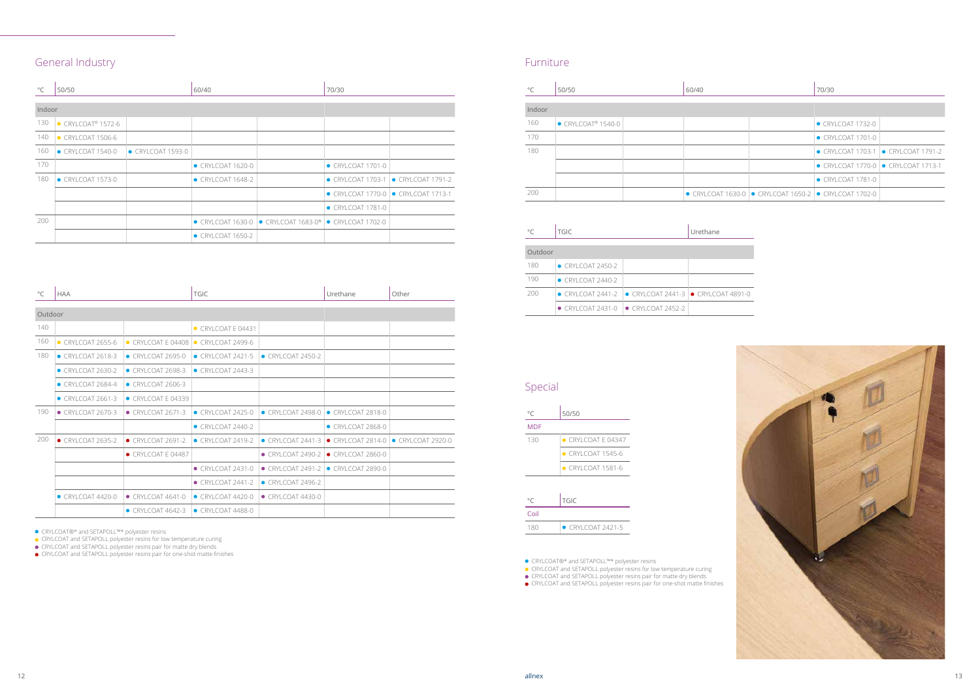



## General Industry **Furniture General** Industry

| $^{\circ}$ C | 50/50                                  |                 | 60/40                     |                                                                                | 70/30                                               |                   |
|--------------|----------------------------------------|-----------------|---------------------------|--------------------------------------------------------------------------------|-----------------------------------------------------|-------------------|
| Indoor       |                                        |                 |                           |                                                                                |                                                     |                   |
| 130          | $\bullet$ CRYLCOAT <sup>®</sup> 1572-6 |                 |                           |                                                                                |                                                     |                   |
| 140          | $\bullet$ CRYLCOAT 1506-6              |                 |                           |                                                                                |                                                     |                   |
| 160          | • CRYLCOAT 1540-0                      | CRYLCOAT 1593-0 |                           |                                                                                |                                                     |                   |
| 170          |                                        |                 | CRYLCOAT 1620-0           |                                                                                | • CRYLCOAT 1701-0                                   |                   |
| 180          | CRYLCOAT 1573-0                        |                 | $\bullet$ CRYLCOAT 1648-2 |                                                                                | $\bullet$ CRYLCOAT 1703-1                           | • CRYLCOAT 1791-2 |
|              |                                        |                 |                           |                                                                                | $\bullet$ CRYLCOAT 1770-0 $\bullet$ CRYLCOAT 1713-1 |                   |
|              |                                        |                 |                           |                                                                                | $\bullet$ CRYLCOAT 1781-0                           |                   |
| 200          |                                        |                 |                           | $\bullet$ CRYLCOAT 1630-0 $\bullet$ CRYLCOAT 1683-0* $\bullet$ CRYLCOAT 1702-0 |                                                     |                   |
|              |                                        |                 | • CRYLCOAT 1650-2         |                                                                                |                                                     |                   |

| $^{\circ}$ C | <b>HAA</b>                 |                            | <b>TGIC</b>                 |                           | Urethane                  | Other             |
|--------------|----------------------------|----------------------------|-----------------------------|---------------------------|---------------------------|-------------------|
| Outdoor      |                            |                            |                             |                           |                           |                   |
| 140          |                            |                            | $\bullet$ CRYI COAT F 04431 |                           |                           |                   |
| 160          | $\bullet$ CRYI COAT 2655-6 | $\bullet$ CRYLCOAT E 04408 | $\bullet$ CRYLCOAT 2499-6   |                           |                           |                   |
| 180          | $\bullet$ CRYLCOAT 2618-3  | $\bullet$ CRYLCOAT 2695-0  | $\bullet$ CRYLCOAT 2421-5   | $\bullet$ CRYLCOAT 2450-2 |                           |                   |
|              | $\bullet$ CRYLCOAT 2630-2  | $\bullet$ CRYI COAT 2698-3 | $\bullet$ CRYI COAT 2443-3  |                           |                           |                   |
|              | $\bullet$ CRYLCOAT 2684-4  | $\bullet$ CRYI COAT 2606-3 |                             |                           |                           |                   |
|              | $\bullet$ CRYLCOAT 2661-3  | $\bullet$ CRYLCOATE 04339  |                             |                           |                           |                   |
| 190          | $\bullet$ CRYLCOAT 2670-3  | $\bullet$ CRYLCOAT 2671-3  | $\bullet$ CRYI COAT 2425-0  | $\bullet$ CRYLCOAT 2498-0 | $\bullet$ CRYLCOAT 2818-0 |                   |
|              |                            |                            | $\bullet$ CRYLCOAT 2440-2   |                           | $\bullet$ CRYLCOAT 2868-0 |                   |
| 200          | $\bullet$ CRYLCOAT 2635-2  | $\bullet$ CRYLCOAT 2691-2  | ● CRYLCOAT 2419-2           | $\bullet$ CRYLCOAT 2441-3 | $\bullet$ CRYLCOAT 2814-0 | • CRYLCOAT 2920-0 |
|              |                            | ● CRYLCOAT E 04487         |                             | $\bullet$ CRYLCOAT 2490-2 | $\bullet$ CRYLCOAT 2860-0 |                   |
|              |                            |                            | • CRYLCOAT 2431-0           | $\bullet$ CRYLCOAT 2491-2 | $\bullet$ CRYLCOAT 2890-0 |                   |
|              |                            |                            | $\bullet$ CRYLCOAT 2441-2   | $\bullet$ CRYLCOAT 2496-2 |                           |                   |
|              | $\bullet$ CRYLCOAT 4420-0  | $\bullet$ CRYLCOAT 4641-0  | $\bullet$ CRYLCOAT 4420-0   | $\bullet$ CRYLCOAT 4430-0 |                           |                   |
|              |                            | $\bullet$ CRYLCOAT 4642-3  | $\bullet$ CRYLCOAT 4488-0   |                           |                           |                   |

CRYLCOAT®\* and SETAPOLL™\* polyester resins

CRYLCOAT and SETAPOLL polyester resins for low temperature curing

CRYLCOAT and SETAPOLL polyester resins pair for matte dry blends

CRYLCOAT and SETAPOLL polyester resins pair for one-shot matte finishes

| $^{\circ}$ C | 50/50                                  |  | 60/40 |  | 70/30                                                                         |  |
|--------------|----------------------------------------|--|-------|--|-------------------------------------------------------------------------------|--|
| Indoor       |                                        |  |       |  |                                                                               |  |
| 160          | $\bullet$ CRYLCOAT <sup>®</sup> 1540-0 |  |       |  | $\bullet$ CRYLCOAT 1732-0                                                     |  |
| 170          |                                        |  |       |  | $\bullet$ CRYLCOAT 1701-0                                                     |  |
| 180          |                                        |  |       |  | $\bullet$ CRYLCOAT 1703-1 $\bullet$ CRYLCOAT 1791-2                           |  |
|              |                                        |  |       |  | $\bullet$ CRYLCOAT 1770-0 $\bullet$ CRYLCOAT 1713-1                           |  |
|              |                                        |  |       |  | $\bullet$ CRYLCOAT 1781-0                                                     |  |
| 200          |                                        |  |       |  | $\bullet$ CRYLCOAT 1630-0 $\bullet$ CRYLCOAT 1650-2 $\bullet$ CRYLCOAT 1702-0 |  |

| °∩      | <b>TGIC</b>                | Urethane                                            |  |
|---------|----------------------------|-----------------------------------------------------|--|
| Outdoor |                            |                                                     |  |
| 180     | $\bullet$ CRYLCOAT 2450-2  |                                                     |  |
| 190     | $\bullet$ CRYI COAT 2440-2 |                                                     |  |
| 200     | $\bullet$ CRYLCOAT 2441-2  | $\bullet$ CRYLCOAT 2441-3 $\bullet$ CRYLCOAT 4891-0 |  |
|         | $\bullet$ CRYI COAT 2431-0 | $\bullet$ CRYLCOAT 2452-2                           |  |

CRYLCOAT®\* and SETAPOLL™\* polyester resins

CRYLCOAT and SETAPOLL polyester resins for low temperature curing

CRYLCOAT and SETAPOLL polyester resins pair for matte dry blends

CRYLCOAT and SETAPOLL polyester resins pair for one-shot matte finishes

## Special

| °C         | 50/50                       |
|------------|-----------------------------|
| <b>MDF</b> |                             |
| 130        | $\bullet$ CRYI COAT F 04347 |
|            | $\bullet$ CRYI COAT 1545-6  |
|            | $\bullet$ CRYI COAT 1581-6  |
|            |                             |
| °C         | <b>TGIC</b>                 |
| Coil       |                             |
| 180        | $\bullet$ CRYI COAT 2421-5  |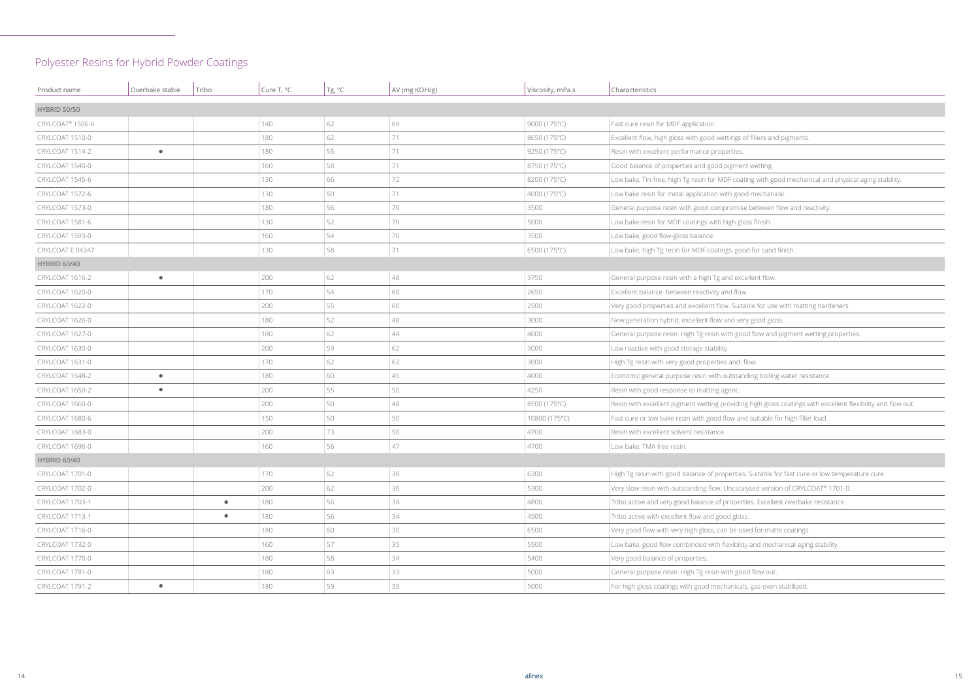oating with good mechanical and physical aging stability.

nise between flow and reactivity.

uitable for use with matting hardeners.

good flow and pigment wetting properties.

tanding boiling water resistance.

ding high gloss coatings with excellent flexibility and flow out.

and suitable for high filler load.

ties. Suitable for fast cure or low temperature cure.

atalysed version of CRYLCOAT® 1701-0.

erties. Excellent overbake resistance.

bility and mechanical aging stability.

## Polyester Resins for Hybrid Powder Coatings

| Product name                 | Overbake stable | Tribo     | Cure T, °C | Tg, °C | AV (mg KOH/g) | Viscosity, mPa.s | Characteristics                                                        |
|------------------------------|-----------------|-----------|------------|--------|---------------|------------------|------------------------------------------------------------------------|
| <b>HYBRID 50/50</b>          |                 |           |            |        |               |                  |                                                                        |
| CRYLCOAT <sup>®</sup> 1506-6 |                 |           | 140        | 62     | 69            | 9000 (175°C)     | Fast cure resin for MDF application.                                   |
| CRYLCOAT 1510-0              |                 |           | 180        | 62     | 71            | 8650 (175°C)     | Excellent flow, high gloss with good wettings of fillers and pigments  |
| CRYLCOAT 1514-2              | $\bullet$       |           | 180        | 55     | 71            | 9250 (175°C)     | Resin with excellent performance properties.                           |
| CRYLCOAT 1540-0              |                 |           | 160        | 58     | 71            | 8750 (175°C)     | Good balance of properties and good pigment wetting.                   |
| CRYLCOAT 1545-6              |                 |           | 130        | 66     | 72            | 8200 (175°C)     | Low bake, Tin-free, high Tg resin for MDF coating with good mechar     |
| CRYLCOAT 1572-6              |                 |           | 130        | 50     | 71            | 4000 (175°C)     | Low bake resin for metal application with good mechanical.             |
| CRYLCOAT 1573-0              |                 |           | 180        | 56     | 70            | 3500             | General purpose resin with good compromise between flow and re         |
| CRYLCOAT 1581-6              |                 |           | 130        | 52     | 70            | 5000             | Low bake resin for MDF coatings with high gloss finish.                |
| CRYLCOAT 1593-0              |                 |           | 160        | 54     | 70            | 3500             | Low bake, good flow-gloss balance.                                     |
| CRYLCOAT E 04347             |                 |           | 130        | 58     | 71            | 6500 (175°C)     | Low bake, high Tg resin for MDF coatings, good for sand finish.        |
| <b>HYBRID 60/40</b>          |                 |           |            |        |               |                  |                                                                        |
| CRYLCOAT 1616-2              | $\bullet$       |           | 200        | 62     | 48            | 3750             | General purpose resin with a high Tg and excellent flow.               |
| CRYLCOAT 1620-0              |                 |           | 170        | 54     | 60            | 2650             | Excellent balance between reactivity and flow.                         |
| CRYLCOAT 1622-0              |                 |           | 200        | 55     | 60            | 2500             | Very good properties and excellent flow. Suitable for use with matti   |
| CRYLCOAT 1626-0              |                 |           | 180        | 52     | 48            | 3000             | New generation hybrid, excellent flow and very good gloss.             |
| CRYLCOAT 1627-0              |                 |           | 180        | 62     | 44            | 4000             | General purpose resin. High Tg resin with good flow and pigment w      |
| CRYLCOAT 1630-0              |                 |           | 200        | 59     | 62            | 3000             | Low reactive with good storage stability.                              |
| CRYLCOAT 1631-0              |                 |           | 170        | 62     | 62            | 3000             | High Tg resin with very good properties and flow.                      |
| CRYLCOAT 1648-2              | $\bullet$       |           | 180        | 60     | 45            | 4000             | Economic general purpose resin with outstanding boiling water res      |
| CRYLCOAT 1650-2              | $\bullet$       |           | 200        | 55     | 50            | 4250             | Resin with good response to matting agent.                             |
| CRYLCOAT 1660-0              |                 |           | 200        | 50     | 48            | 8500 (175°C)     | Resin with excellent pigment wetting providing high gloss coatings v   |
| CRYLCOAT 1680-6              |                 |           | 150        | 50     | 50            | 10800 (175°C)    | Fast cure or low bake resin with good flow and suitable for high fille |
| CRYLCOAT 1683-0              |                 |           | 200        | 73     | 50            | 4700             | Resin with excellent solvent resistance.                               |
| CRYLCOAT 1696-0              |                 |           | 160        | 56     | 47            | 4700             | Low bake, TMA free resin.                                              |
| <b>HYBRID 60/40</b>          |                 |           |            |        |               |                  |                                                                        |
| CRYLCOAT 1701-0              |                 |           | 170        | 62     | 36            | 6300             | High Tg resin with good balance of properties. Suitable for fast cure  |
| CRYLCOAT 1702-0              |                 |           | 200        | 62     | 36            | 5300             | Very slow resin with outstanding flow. Uncatalysed version of CRYLO    |
| CRYLCOAT 1703-1              |                 | $\bullet$ | 180        | 56     | 34            | 4800             | Tribo active and very good balance of properties. Excellent overbak    |
| CRYLCOAT 1713-1              |                 | $\bullet$ | 180        | 56     | 34            | 4500             | Tribo active with excellent flow and good gloss.                       |
| CRYLCOAT 1716-0              |                 |           | 180        | 60     | 30            | 6500             | Very good flow with very high gloss, can be used for matte coatings    |
| CRYLCOAT 1732-0              |                 |           | 160        | 57     | 35            | 5500             | Low bake, good flow combinded with flexibility and mechanical agin     |
| CRYLCOAT 1770-0              |                 |           | 180        | 58     | 34            | 5400             | Very good balance of properties.                                       |
| CRYLCOAT 1781-0              |                 |           | 180        | 63     | 33            | 5000             | General purpose resin. High Tg resin with good flow out.               |
| CRYLCOAT 1791-2              | $\bullet$       |           | 180        | 59     | 33            | 5000             | For high gloss coatings with good mechanicals, gas-oven stabilized.    |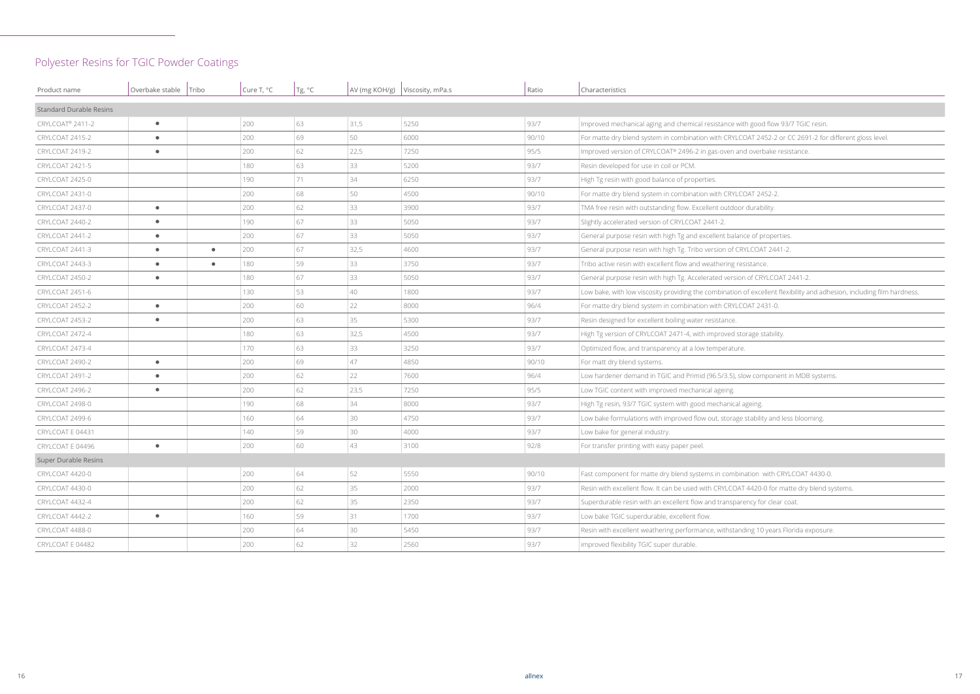with good flow 93/7 TGIC resin.

COAT 2452-2 or CC 2691-2 for different gloss level.

on of excellent flexibility and adhesion, including film hardness.

slow component in MDB systems.

ge stability and less blooming.

oination with CRYLCOAT 4430-0.

AT 4420-0 for matte dry blend systems.

anding 10 years Florida exposure.

## Polyester Resins for TGIC Powder Coatings

| Product name                   | Overbake stable   Tribo |           | Cure T, °C | Tg, °C |      | AV (mg KOH/g)   Viscosity, mPa.s | Ratio | Characteristics                                                                    |
|--------------------------------|-------------------------|-----------|------------|--------|------|----------------------------------|-------|------------------------------------------------------------------------------------|
| <b>Standard Durable Resins</b> |                         |           |            |        |      |                                  |       |                                                                                    |
| CRYLCOAT <sup>®</sup> 2411-2   | $\bullet$               |           | 200        | 63     | 31,5 | 5250                             | 93/7  | Improved mechanical aging and chemical resistance with good flow 93/7 TGIC         |
| CRYLCOAT 2415-2                | $\bullet$               |           | 200        | 69     | 50   | 6000                             | 90/10 | For matte dry blend system in combination with CRYLCOAT 2452-2 or CC 2691          |
| CRYLCOAT 2419-2                | $\bullet$               |           | 200        | 62     | 22,5 | 7250                             | 95/5  | Improved version of CRYLCOAT® 2496-2 in gas-oven and overbake resistance.          |
| CRYLCOAT 2421-5                |                         |           | 180        | 63     | 33   | 5200                             | 93/7  | Resin developed for use in coil or PCM.                                            |
| CRYLCOAT 2425-0                |                         |           | 190        | 71     | 34   | 6250                             | 93/7  | High Tg resin with good balance of properties.                                     |
| CRYLCOAT 2431-0                |                         |           | 200        | 68     | 50   | 4500                             | 90/10 | For matte dry blend system in combination with CRYLCOAT 2452-2.                    |
| CRYLCOAT 2437-0                | $\bullet$               |           | 200        | 62     | 33   | 3900                             | 93/7  | TMA free resin with outstanding flow. Excellent outdoor durability.                |
| CRYLCOAT 2440-2                | $\bullet$               |           | 190        | 67     | 33   | 5050                             | 93/7  | Slightly accelerated version of CRYLCOAT 2441-2.                                   |
| CRYLCOAT 2441-2                | $\bullet$               |           | 200        | 67     | 33   | 5050                             | 93/7  | General purpose resin with high Tg and excellent balance of properties.            |
| CRYLCOAT 2441-3                | $\bullet$               | $\bullet$ | 200        | 67     | 32,5 | 4600                             | 93/7  | General purpose resin with high Tg. Tribo version of CRYLCOAT 2441-2.              |
| CRYLCOAT 2443-3                | $\bullet$               | $\bullet$ | 180        | 59     | 33   | 3750                             | 93/7  | Tribo active resin with excellent flow and weathering resistance.                  |
| CRYLCOAT 2450-2                | $\bullet$               |           | 180        | 67     | 33   | 5050                             | 93/7  | General purpose resin with high Tg. Accelerated version of CRYLCOAT 2441-2.        |
| CRYLCOAT 2451-6                |                         |           | 130        | 53     | 40   | 1800                             | 93/7  | Low bake, with low viscosity providing the combination of excellent flexibility ar |
| CRYLCOAT 2452-2                | $\bullet$               |           | 200        | 60     | 22   | 8000                             | 96/4  | For matte dry blend system in combination with CRYLCOAT 2431-0.                    |
| CRYLCOAT 2453-2                | $\bullet$               |           | 200        | 63     | 35   | 5300                             | 93/7  | Resin designed for excellent boiling water resistance.                             |
| CRYLCOAT 2472-4                |                         |           | 180        | 63     | 32,5 | 4500                             | 93/7  | High Tg version of CRYLCOAT 2471-4, with improved storage stability.               |
| CRYLCOAT 2473-4                |                         |           | 170        | 63     | 33   | 3250                             | 93/7  | Optimized flow, and transparency at a low temperature.                             |
| CRYLCOAT 2490-2                | $\bullet$               |           | 200        | 69     | 47   | 4850                             | 90/10 | For matt dry blend systems.                                                        |
| CRYLCOAT 2491-2                | $\bullet$               |           | 200        | 62     | 22   | 7600                             | 96/4  | Low hardener demand in TGIC and Primid (96.5/3.5), slow component in MDB           |
| CRYLCOAT 2496-2                | $\bullet$               |           | 200        | 62     | 23,5 | 7250                             | 95/5  | Low TGIC content with improved mechanical ageing.                                  |
| CRYLCOAT 2498-0                |                         |           | 190        | 68     | 34   | 8000                             | 93/7  | High Tg resin, 93/7 TGIC system with good mechanical ageing.                       |
| CRYLCOAT 2499-6                |                         |           | 160        | 64     | 30   | 4750                             | 93/7  | Low bake formulations with improved flow out, storage stability and less bloon     |
| CRYLCOAT E 04431               |                         |           | 140        | 59     | 30   | 4000                             | 93/7  | Low bake for general industry.                                                     |
| CRYLCOAT E 04496               | $\bullet$               |           | 200        | 60     | 43   | 3100                             | 92/8  | For transfer printing with easy paper peel                                         |
| Super Durable Resins           |                         |           |            |        |      |                                  |       |                                                                                    |
| CRYLCOAT 4420-0                |                         |           | 200        | 64     | 52   | 5550                             | 90/10 | Fast component for matte dry blend systems in combination with CRYLCOAT 4          |
| CRYLCOAT 4430-0                |                         |           | 200        | 62     | 35   | 2000                             | 93/7  | Resin with excellent flow. It can be used with CRYLCOAT 4420-0 for matte dry I     |
| CRYLCOAT 4432-4                |                         |           | 200        | 62     | 35   | 2350                             | 93/7  | Superdurable resin with an excellent flow and transparency for clear coat.         |
| CRYLCOAT 4442-2                | $\bullet$               |           | 160        | 59     | 31   | 1700                             | 93/7  | Low bake TGIC superdurable, excellent flow.                                        |
| CRYLCOAT 4488-0                |                         |           | 200        | 64     | 30   | 5450                             | 93/7  | Resin with excellent weathering performance, withstanding 10 years Florida ex      |
| CRYLCOAT E 04482               |                         |           | 200        | 62     | 32   | 2560                             | 93/7  | improved flexibility TGIC super durable.                                           |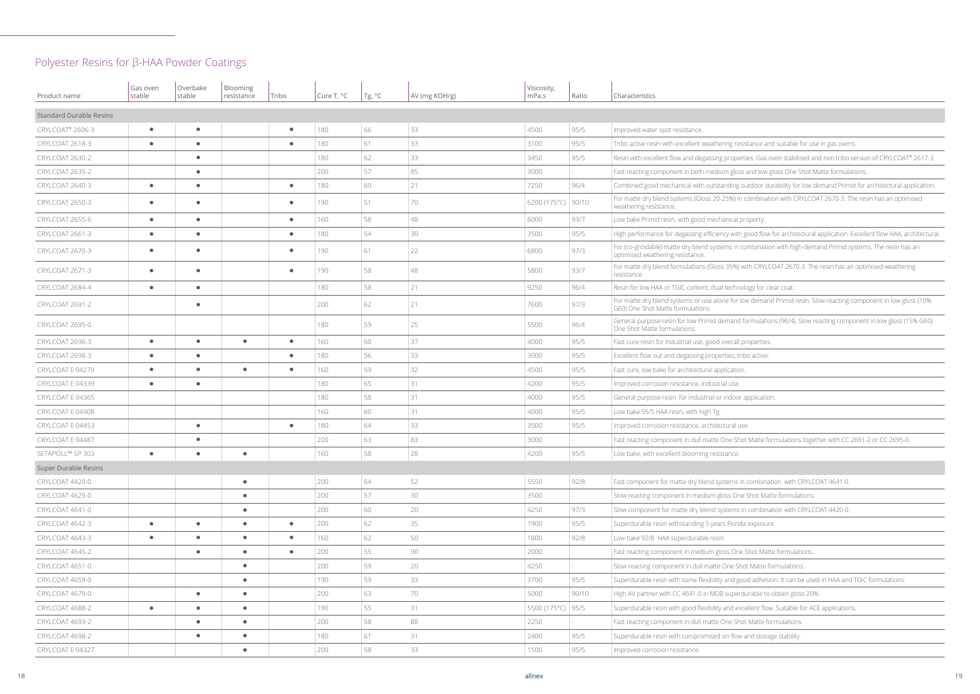esistance and suitable for use in gas ovens.

Perties. Gas oven stabilised and non tribo version of CRYLCOAT® 2617-3.

oss and low gloss One Shot Matte formulations.

g outdoor durability for low demand Primid for architectural application.

in combination with CRYLCOAT 2670-3. The resin has an optimised

th good flow for architectural application. Excellent flow HAA, architectural.

n combination with high-demand Primid systems. The resin has an

) with CRYLCOAT 2670-3. The resin has an optimised weathering

r low demand Primid resin. Slow reacting component in low gloss (10%

d formulations (96/4). Slow reacting component in low gloss (15% G60)

Shot Matte formulations together with CC 2691-2 or CC 2695-0.

s in combination with CRYLCOAT 4641-0.

s in combination with CRYLCOAT 4420-0.

good adhesion. It can be used in HAA and TGIC formulations.

erdurable to obtain gloss 20%.

excellent flow. Suitable for ACE applications.

### Polyester Resins for β-HAA Powder Coatings

| Product name                   | Gas oven<br>stable | Overbake<br>stable | Blooming<br>resistance | Tribo     | Cure T, °C | Tg, °C | AV (mg KOH/g) | Viscosity,<br>mPa.s  | Ratio | Characteristics                                                                                             |
|--------------------------------|--------------------|--------------------|------------------------|-----------|------------|--------|---------------|----------------------|-------|-------------------------------------------------------------------------------------------------------------|
| <b>Standard Durable Resins</b> |                    |                    |                        |           |            |        |               |                      |       |                                                                                                             |
| CRYLCOAT <sup>®</sup> 2606-3   | $\bullet$          | $\bullet$          |                        | $\bullet$ | 180        | 66     | 33            | 4500                 | 95/5  | Improved water spot resistance.                                                                             |
| CRYLCOAT 2618-3                | $\bullet$          | $\bullet$          |                        | $\bullet$ | 180        | 61     | 33            | 3100                 | 95/5  | Tribo active resin with excellent weathering resistance and suitable for u                                  |
| CRYLCOAT 2630-2                |                    | $\bullet$          |                        |           | 180        | 62     | 33            | 3450                 | 95/5  | Resin with excellent flow and degassing properties. Gas oven stabilised a                                   |
| CRYLCOAT 2635-2                |                    | $\bullet$          |                        |           | 200        | 57     | 85            | 3000                 |       | Fast reacting component in both medium gloss and low gloss One Shot                                         |
| CRYLCOAT 2640-3                | $\bullet$          | $\bullet$          |                        | $\bullet$ | 180        | 60     | 21            | 7250                 | 96/4  | Combined good mechanical with outstanding outdoor durability for low                                        |
| CRYLCOAT 2650-3                | $\bullet$          | $\bullet$          |                        | $\bullet$ | 190        | 51     | 70            | 6200 (175°C)   90/10 |       | For matte dry blend systems (Gloss 20-25%) in combination with CRYLC<br>weathering resistance.              |
| CRYLCOAT 2655-6                | $\bullet$          | $\bullet$          |                        | $\bullet$ | 160        | 58     | 48            | 6000                 | 93/7  | Low bake Primid resin, with good mechanical property.                                                       |
| CRYLCOAT 2661-3                | $\bullet$          | $\bullet$          |                        | $\bullet$ | 180        | 54     | 30            | 3500                 | 95/5  | High performance for degassing efficiency with good flow for architectura                                   |
| CRYLCOAT 2670-3                | $\bullet$          | $\bullet$          |                        | $\bullet$ | 190        | 61     | 22            | 6800                 | 97/3  | For (co-grindable) matte dry blend systems in combination with high-der<br>optimised weathering resistance. |
| CRYLCOAT 2671-3                | $\bullet$          | $\bullet$          |                        | $\bullet$ | 190        | 58     | $48\,$        | 5800                 | 93/7  | For matte dry blend formulations (Gloss 35%) with CRYLCOAT 2670-3. Th<br>resistance.                        |
| CRYLCOAT 2684-4                | $\bullet$          | $\bullet$          |                        |           | 180        | 58     | 21            | 9250                 | 96/4  | Resin for low HAA or TGIC content, dual technology for clear coat.                                          |
| CRYLCOAT 2691-2                |                    | $\bullet$          |                        |           | 200        | 62     | 21            | 7600                 | 97/3  | For matte dry blend systems or use alone for low demand Primid resin.<br>G60) One Shot Matte formulations.  |
| CRYLCOAT 2695-0                |                    |                    |                        |           | 180        | 59     | 25            | 5500                 | 96/4  | General purpose resin for low Primid demand formulations (96/4). Slow<br>One Shot Matte formulations.       |
| CRYLCOAT 2696-3                | $\bullet$          | $\bullet$          | $\bullet$              | $\bullet$ | 160        | 60     | 37            | 4000                 | 95/5  | Fast cure resin for industrial use, good overall properties.                                                |
| CRYLCOAT 2698-3                | $\bullet$          | $\bullet$          |                        | $\bullet$ | 180        | 56     | 33            | 3000                 | 95/5  | Excellent flow out and degassing properties, tribo active.                                                  |
| CRYLCOAT E 04279               | $\bullet$          | $\bullet$          | $\bullet$              | $\bullet$ | 160        | 59     | 32            | 4500                 | 95/5  | Fast cure, low bake for architectural application.                                                          |
| CRYLCOAT E 04339               | $\bullet$          | $\bullet$          |                        |           | 180        | 65     | 31            | 4200                 | 95/5  | Improved corrosion resistance, industrial use.                                                              |
| CRYLCOAT E 04365               |                    |                    |                        |           | 180        | 58     | 31            | 4000                 | 95/5  | General purpose resin for industrial or indoor application.                                                 |
| CRYLCOAT E 04408               |                    |                    |                        |           | 160        | 60     | 31            | 4000                 | 95/5  | Low bake 95/5 HAA resin, with high Tg.                                                                      |
| CRYLCOAT E 04453               |                    | $\bullet$          |                        | $\bullet$ | 180        | 64     | 33            | 3500                 | 95/5  | Improved corrosion resistance, architectural use.                                                           |
| CRYLCOAT E 04487               |                    | $\bullet$          |                        |           | 200        | 63     | 83            | 3000                 |       | Fast reacting component in dull matte One Shot Matte formulations tog                                       |
| SETAPOLL™ SP 303               |                    |                    | $\bullet$              |           | 160        | 58     | 28            | 4200                 | 95/5  | Low bake, with excellent blooming resistance.                                                               |
| Super Durable Resins           |                    |                    |                        |           |            |        |               |                      |       |                                                                                                             |
| CRYLCOAT 4420-0                |                    |                    | $\bullet$              |           | 200        | 64     | 52            | 5550                 | 92/8  | Fast component for matte dry blend systems in combination with CRYL                                         |
| CRYLCOAT 4629-0                |                    |                    | $\bullet$              |           | 200        | 57     | 30            | 3500                 |       | Slow reacting component in medium gloss One Shot Matte formulations                                         |
| CRYLCOAT 4641-0                |                    |                    | $\bullet$              |           | 200        | 60     | 20            | 4250                 | 97/3  | Slow component for matte dry blend systems in combination with CRYL                                         |
| CRYLCOAT 4642-3                | $\bullet$          | $\bullet$          | $\bullet$              | $\bullet$ | 200        | 62     | 35            | 1900                 | 95/5  | Superdurable resin withstanding 5 years Florida exposure.                                                   |
| CRYLCOAT 4643-3                | $\bullet$          | $\bullet$          | $\bullet$              | $\bullet$ | 160        | 62     | 50            | 1800                 | 92/8  | Low bake 92/8 HAA superdurable resin.                                                                       |
| CRYLCOAT 4645-2                |                    | $\bullet$          | $\bullet$              | $\bullet$ | 200        | 55     | 90            | 2000                 |       | Fast reacting component in medium gloss One Shot Matte formulations                                         |
| CRYLCOAT 4651-0                |                    |                    | $\bullet$              |           | 200        | 59     | 20            | 4250                 |       | Slow reacting component in dull matte One Shot Matte formulations.                                          |
| CRYLCOAT 4659-0                |                    |                    | $\bullet$              |           | 190        | 59     | 33            | 3700                 | 95/5  | Superdurable resin with some flexibility and good adhesion. It can be us                                    |
| CRYLCOAT 4679-0                |                    | $\bullet$          | $\bullet$              |           | 200        | 63     | 70            | 5000                 | 90/10 | High AV partner with CC 4641-0 in MDB superdurable to obtain gloss 20                                       |
| CRYLCOAT 4688-2                | $\bullet$          | $\bullet$          | $\bullet$              |           | 190        | 55     | 31            | 5500 (175°C) 95/5    |       | Superdurable resin with good flexibility and excellent flow. Suitable for A                                 |
| CRYLCOAT 4693-2                |                    | $\bullet$          | $\bullet$              |           | 200        | 58     | 88            | 2250                 |       | Fast reacting component in dull matte One Shot Matte formulations.                                          |
| CRYLCOAT 4698-2                |                    | $\bullet$          | $\bullet$              |           | 180        | 61     | 31            | 2400                 | 95/5  | Superdurable resin with compromised on flow and storage stability.                                          |
| CRYLCOAT E 04327               |                    |                    | $\bullet$              |           | 200        | 58     | 33            | 1500                 | 95/5  | Improved corrosion resistance.                                                                              |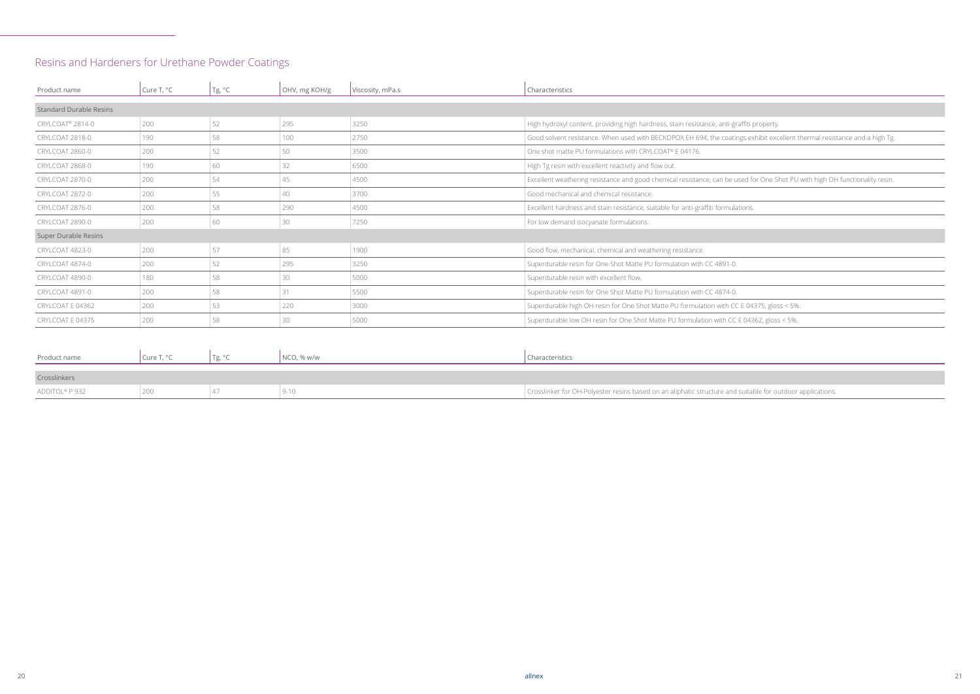ngs exhibit excellent thermal resistance and a high Tg.

USed for One Shot PU with high OH functionality resin.

I suitable for outdoor applications.

## Resins and Hardeners for Urethane Powder Coatings

| Product name                   | Cure T, °C | Tg, °C | OHV, mg KOH/g | Viscosity, mPa.s | Characteristics                                                                           |
|--------------------------------|------------|--------|---------------|------------------|-------------------------------------------------------------------------------------------|
| <b>Standard Durable Resins</b> |            |        |               |                  |                                                                                           |
| CRYLCOAT <sup>®</sup> 2814-0   | 200        | 52     | 295           | 3250             | High hydroxyl content, providing high hardness, stain resistance, anti-graffiti property. |
| CRYLCOAT 2818-0                | 190        | 58     | 100           | 2750             | Good solvent resistance. When used with BECKOPOX EH 694, the coatings exhibit excellent t |
| CRYLCOAT 2860-0                | 200        | 52     | 50            | 3500             | One shot matte PU formulations with CRYLCOAT® E 04176.                                    |
| CRYLCOAT 2868-0                | 190        | 60     | 32            | 6500             | High Tg resin with excellent reactivity and flow out.                                     |
| CRYLCOAT 2870-0                | 200        | 54     | 45            | 4500             | Excellent weathering resistance and good chemical resistance, can be used for One Shot PU |
| CRYLCOAT 2872-0                | 200        | 55     | 40            | 3700             | Good mechanical and chemical resistance.                                                  |
| CRYLCOAT 2876-0                | 200        | 58     | 290           | 4500             | Excellent hardness and stain resistance, suitable for anti-graffiti formulations.         |
| CRYLCOAT 2890-0                | 200        | 60     | 30            | 7250             | For low demand isocyanate formulations.                                                   |
| Super Durable Resins           |            |        |               |                  |                                                                                           |
| CRYLCOAT 4823-0                | 200        | 57     | 85            | 1900             | Good flow, mechanical, chemical and weathering resistance.                                |
| CRYLCOAT 4874-0                | 200        | 52     | 295           | 3250             | Superdurable resin for One Shot Matte PU formulation with CC 4891-0.                      |
| CRYLCOAT 4890-0                | 180        | 58     | 30            | 5000             | Superdurable resin with excellent flow.                                                   |
| CRYLCOAT 4891-0                | 200        | 58     | 31            | 5500             | Superdurable resin for One Shot Matte PU formulation with CC 4874-0.                      |
| CRYLCOAT E 04362               | 200        | 53     | 220           | 3000             | Superdurable high OH resin for One Shot Matte PU formulation with CC E 04375, gloss < 5%  |
| CRYLCOAT E 04375               | 200        | 58     | 30            | 5000             | Superdurable low OH resin for One Shot Matte PU formulation with CC E 04362, gloss < 5%.  |

| Product name   | Cure T, °C | NCO, % w/w | Characteristics                                                         |
|----------------|------------|------------|-------------------------------------------------------------------------|
|                |            |            |                                                                         |
| Crosslinkers   |            |            |                                                                         |
| ADDITOL® P 932 |            |            | Crosslinker for OH-Polyester resins based on an aliphatic structure and |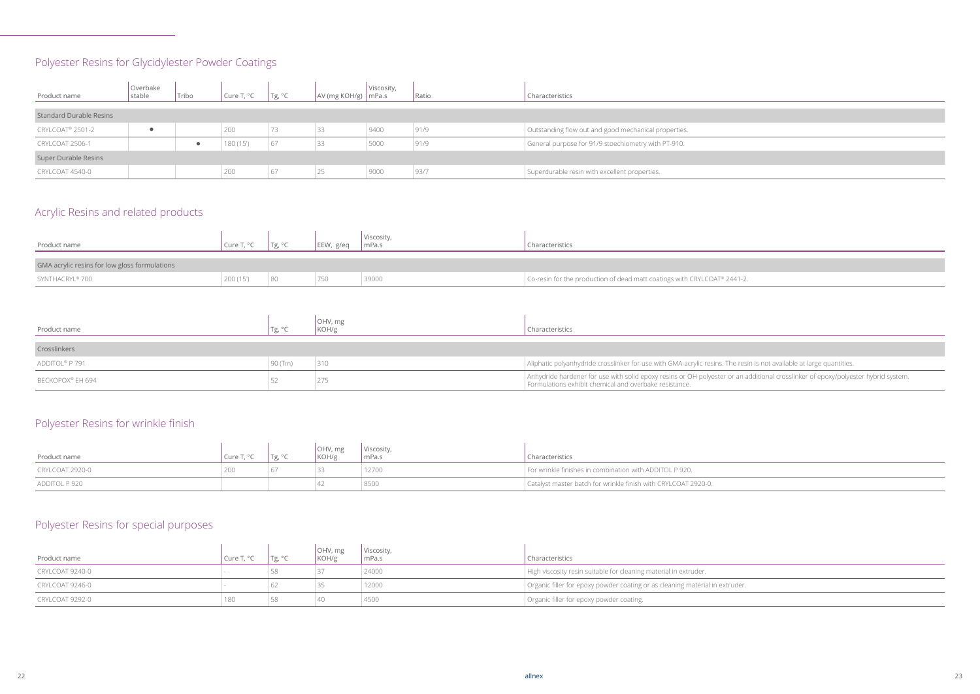resin is not available at large quantities.

an additional crosslinker of epoxy/polyester hybrid system.

## Polyester Resins for Glycidylester Powder Coatings

## Acrylic Resins and related products

## Polyester Resins for wrinkle finish

## Polyester Resins for special purposes

| Product name                   | Overbake<br>stable | Tribo | Cure $T, °C$ | Tg, °C | $\vert$ AV (mg KOH/g) $\vert$ mPa.s | Viscosity, | Ratio | Characteristics                                      |
|--------------------------------|--------------------|-------|--------------|--------|-------------------------------------|------------|-------|------------------------------------------------------|
| <b>Standard Durable Resins</b> |                    |       |              |        |                                     |            |       |                                                      |
| CRYLCOAT <sup>®</sup> 2501-2   |                    |       | 200          |        | 33                                  | 9400       | 91/9  | Outstanding flow out and good mechanical properties. |
| CRYLCOAT 2506-1                |                    |       | 180 (15')    | 67     | 33                                  | 5000       | 91/9  | General purpose for 91/9 stoechiometry with PT-910.  |
| Super Durable Resins           |                    |       |              |        |                                     |            |       |                                                      |
| CRYLCOAT 4540-0                |                    |       | 200          | 67     | 25                                  | 9000       | 93/7  | Superdurable resin with excellent properties.        |

| Product name                                  | Cure T, °C | Tg, $^{\circ}C$ | EEW, g/eq | Viscosity,<br>mPa.s | haracteristics                                                           |
|-----------------------------------------------|------------|-----------------|-----------|---------------------|--------------------------------------------------------------------------|
| GMA acrylic resins for low gloss formulations |            |                 |           |                     |                                                                          |
| SYNTHACRYL® 700                               | 200 (15')  |                 | 750       | 39000               | Co-resin for the production of dead matt coatings with CRYLCOAT® 2441-2. |

| Product name     | Tg, $^{\circ}$ C | OHV, mg<br>KOH/g | Characteristics                                                                                                                    |
|------------------|------------------|------------------|------------------------------------------------------------------------------------------------------------------------------------|
|                  |                  |                  |                                                                                                                                    |
| Crosslinkers     |                  |                  |                                                                                                                                    |
| ADDITOL® P 791   | $90$ (Tm)        | 310              | Aliphatic polyanhydride crosslinker for use with GMA-acrylic resins. The r                                                         |
| BECKOPOX® EH 694 |                  | 275              | Anhydride hardener for use with solid epoxy resins or OH polyester or an<br>Formulations exhibit chemical and overbake resistance. |

| Product name    | Cure T. | Tg, °C | OHV, mg<br>KOH/g | Viscosity,<br>mPa.s | Characteristics                                                |
|-----------------|---------|--------|------------------|---------------------|----------------------------------------------------------------|
| CRYLCOAT 2920-0 | 200     |        |                  | 12700               | For wrinkle finishes in combination with ADDITOL P 920.        |
| ADDITOL P 920   |         |        | 4/               | 8500                | Catalyst master batch for wrinkle finish with CRYLCOAT 2920-0. |

| Product name    | Cure T, °C | Tg, °C | OHV, mg<br>KOH/g | Viscosity,<br>mPa.s | Characteristics                                                              |
|-----------------|------------|--------|------------------|---------------------|------------------------------------------------------------------------------|
| CRYLCOAT 9240-0 |            |        |                  | 24000               | High viscosity resin suitable for cleaning material in extruder.             |
| CRYLCOAT 9246-0 |            |        |                  | 12000               | Organic filler for epoxy powder coating or as cleaning material in extruder. |
| CRYLCOAT 9292-0 | 180        |        | 40               | 4500                | Organic filler for epoxy powder coating.                                     |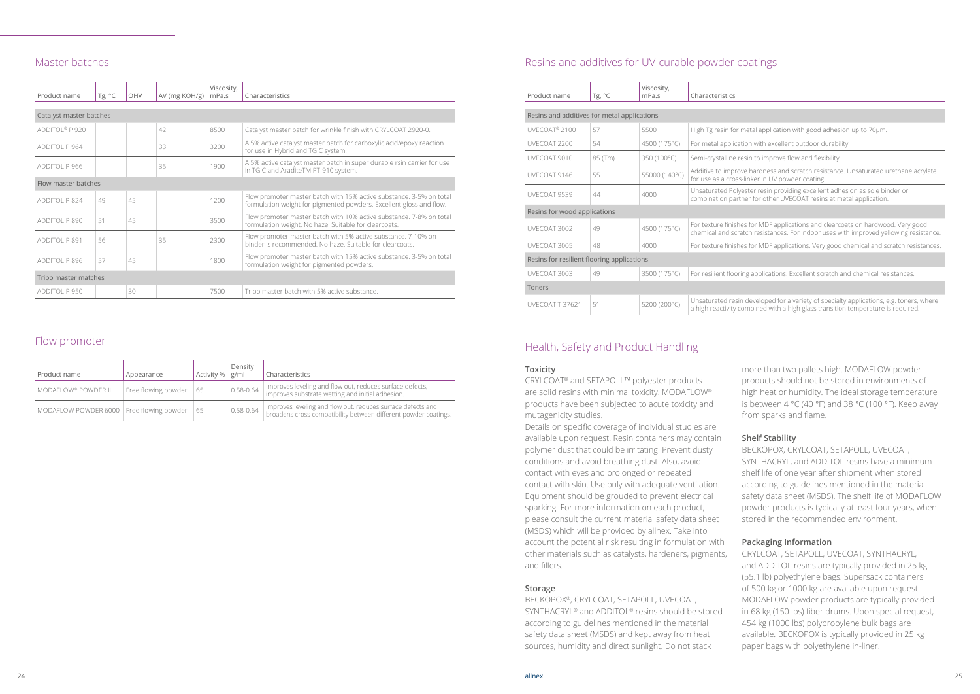metal application with good adhesion up to 70µm.

ation with excellent outdoor durability.

resin to improve flow and flexibility.

ove hardness and scratch resistance. Unsaturated urethane acrylate for use an UV powder coating.

lyester resin providing excellent adhesion as sole binder or tner for other UVECOAT resins at metal application.

hes for MDF applications and clearcoats on hardwood. Very good ratch resistances. For indoor uses with improved yellowing resistance.

hes for MDF applications. Very good chemical and scratch resistances.

ring applications. Excellent scratch and chemical resistances.

in developed for a variety of specialty applications, e.g. toners, where combined with a high glass transition temperature is required.

#### Master batches

| Product name               | Tg, $^{\circ}$ C | OHV | AV (mg KOH/g) | Viscosity,<br>mPa.s | Characteristics                                                                                                                            |
|----------------------------|------------------|-----|---------------|---------------------|--------------------------------------------------------------------------------------------------------------------------------------------|
|                            |                  |     |               |                     |                                                                                                                                            |
| Catalyst master batches    |                  |     |               |                     |                                                                                                                                            |
| ADDITOL <sup>®</sup> P 920 |                  |     | 42            | 8500                | Catalyst master batch for wrinkle finish with CRYLCOAT 2920-0.                                                                             |
| ADDITOL P 964              |                  |     | 33            | 3200                | A 5% active catalyst master batch for carboxylic acid/epoxy reaction<br>for use in Hybrid and TGIC system.                                 |
| ADDITOL P 966              |                  |     | 35            | 1900                | A 5% active catalyst master batch in super durable rsin carrier for use<br>in TGIC and AraditeTM PT-910 system.                            |
| Flow master batches        |                  |     |               |                     |                                                                                                                                            |
| ADDITOL P 824              | 49               | 45  |               | 1200                | Flow promoter master batch with 15% active substance. 3-5% on total<br>formulation weight for pigmented powders. Excellent gloss and flow. |
| ADDITOL P 890              | 51               | 45  |               | 3500                | Flow promoter master batch with 10% active substance. 7-8% on total<br>formulation weight. No haze. Suitable for clearcoats.               |
| ADDITOL P 891              | 56               |     | 35            | 2300                | Flow promoter master batch with 5% active substance. 7-10% on<br>binder is recommended. No haze. Suitable for clearcoats.                  |
| ADDITOL P 896              | 57               | 45  |               | 1800                | Flow promoter master batch with 15% active substance. 3-5% on total<br>formulation weight for pigmented powders.                           |
| Tribo master matches       |                  |     |               |                     |                                                                                                                                            |
| ADDITOL P 950              |                  | 30  |               | 7500                | Tribo master batch with 5% active substance.                                                                                               |

#### Flow promoter

| Product name                               | Appearance          | Activity % | Density<br>g/ml | Characteristics                                                                                                                |
|--------------------------------------------|---------------------|------------|-----------------|--------------------------------------------------------------------------------------------------------------------------------|
| MODAFLOW® POWDER III                       | Free flowing powder | 65         | 0.58-0.64       | Improves leveling and flow out, reduces surface defects,<br>improves substrate wetting and initial adhesion.                   |
| MODAFLOW POWDER 6000   Free flowing powder |                     | 65         | $0.58 - 0.64$   | Improves leveling and flow out, reduces surface defects and<br>broadens cross compatibility between different powder coatings. |

### Resins and additives for UV-curable powder coatings

| Product name                                | Tg, °C  | Viscosity,<br>mPa.s | Characteristics                         |
|---------------------------------------------|---------|---------------------|-----------------------------------------|
|                                             |         |                     |                                         |
| Resins and additives for metal applications |         |                     |                                         |
| UVECOAT <sup>®</sup> 2100                   | 57      | 5500                | High Tg resin for                       |
| UVECOAT 2200                                | 54      | 4500 (175°C)        | For metal applica                       |
| UVECOAT 9010                                | 85 (Tm) | 350 (100°C)         | Semi-crystalline r                      |
| UVECOAT 9146                                | 55      | 55000 (140°C)       | Additive to impro<br>for use as a cros: |
| UVECOAT 9539                                | 44      | 4000                | Unsaturated Poly<br>combination par     |
| Resins for wood applications                |         |                     |                                         |
| UVFCOAT 3002                                | 49      | 4500 (175°C)        | For texture finish<br>chemical and scr  |
| UVECOAT 3005                                | 48      | 4000                | For texture finish                      |
| Resins for resilient flooring applications  |         |                     |                                         |
| UVECOAT 3003                                | 49      | 3500 (175°C)        | For resilient floor                     |
| Toners                                      |         |                     |                                         |
| UVECOAT T 37621                             | 51      | 5200 (200°C)        | Unsaturated resi<br>a high reactivity o |

#### Health, Safety and Product Handling

#### **Toxicity**

CRYLCOAT® and SETAPOLL™ polyester products are solid resins with minimal toxicity. MODAFLOW® products have been subjected to acute toxicity and mutagenicity studies.

Details on specific coverage of individual studies are available upon request. Resin containers may contain polymer dust that could be irritating. Prevent dusty conditions and avoid breathing dust. Also, avoid contact with eyes and prolonged or repeated contact with skin. Use only with adequate ventilation. Equipment should be grouded to prevent electrical sparking. For more information on each product, please consult the current material safety data sheet (MSDS) which will be provided by allnex. Take into account the potential risk resulting in formulation with other materials such as catalysts, hardeners, pigments, and fillers.

#### **Storage**

BECKOPOX®, CRYLCOAT, SETAPOLL, UVECOAT, SYNTHACRYL® and ADDITOL® resins should be stored according to guidelines mentioned in the material safety data sheet (MSDS) and kept away from heat sources, humidity and direct sunlight. Do not stack

more than two pallets high. MODAFLOW powder products should not be stored in environments of high heat or humidity. The ideal storage temperature is between 4 °C (40 °F) and 38 °C (100 °F). Keep away from sparks and flame.

#### **Shelf Stability**

BECKOPOX, CRYLCOAT, SETAPOLL, UVECOAT, SYNTHACRYL, and ADDITOL resins have a minimum shelf life of one year after shipment when stored according to guidelines mentioned in the material safety data sheet (MSDS). The shelf life of MODAFLOW powder products is typically at least four years, when stored in the recommended environment.

#### **Packaging Information**

CRYLCOAT, SETAPOLL, UVECOAT, SYNTHACRYL, and ADDITOL resins are typically provided in 25 kg (55.1 lb) polyethylene bags. Supersack containers of 500 kg or 1000 kg are available upon request. MODAFLOW powder products are typically provided in 68 kg (150 lbs) fiber drums. Upon special request, 454 kg (1000 lbs) polypropylene bulk bags are available. BECKOPOX is typically provided in 25 kg paper bags with polyethylene in-liner.